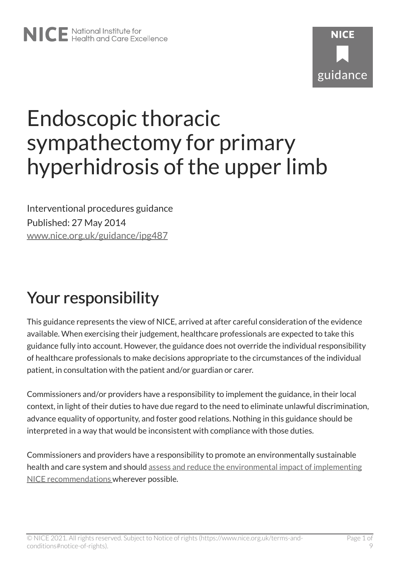# Endoscopic thoracic sympathectomy for primary hyperhidrosis of the upper limb

Interventional procedures guidance Published: 27 May 2014 [www.nice.org.uk/guidance/ipg487](https://www.nice.org.uk/guidance/ipg487) 

# Your responsibility

This guidance represents the view of NICE, arrived at after careful consideration of the evidence available. When exercising their judgement, healthcare professionals are expected to take this guidance fully into account. However, the guidance does not override the individual responsibility of healthcare professionals to make decisions appropriate to the circumstances of the individual patient, in consultation with the patient and/or guardian or carer.

Commissioners and/or providers have a responsibility to implement the guidance, in their local context, in light of their duties to have due regard to the need to eliminate unlawful discrimination, advance equality of opportunity, and foster good relations. Nothing in this guidance should be interpreted in a way that would be inconsistent with compliance with those duties.

Commissioners and providers have a responsibility to promote an environmentally sustainable health and care system and should [assess and reduce the environmental impact of implementing](https://www.nice.org.uk/about/who-we-are/sustainability)  [NICE recommendations w](https://www.nice.org.uk/about/who-we-are/sustainability)herever possible.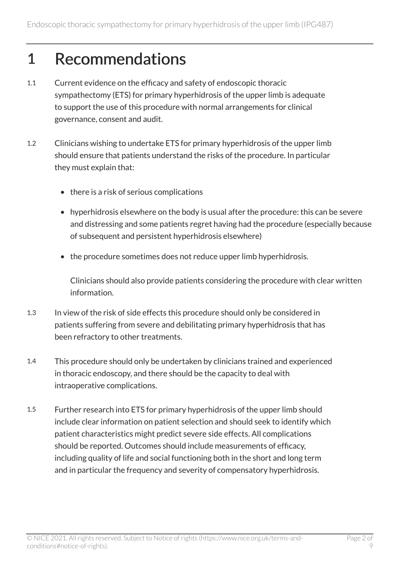#### 1 Recommendations

- 1.1 Current evidence on the efficacy and safety of endoscopic thoracic sympathectomy (ETS) for primary hyperhidrosis of the upper limb is adequate to support the use of this procedure with normal arrangements for clinical governance, consent and audit.
- 1.2 Clinicians wishing to undertake ETS for primary hyperhidrosis of the upper limb should ensure that patients understand the risks of the procedure. In particular they must explain that:
	- there is a risk of serious complications
	- hyperhidrosis elsewhere on the body is usual after the procedure: this can be severe and distressing and some patients regret having had the procedure (especially because of subsequent and persistent hyperhidrosis elsewhere)
	- the procedure sometimes does not reduce upper limb hyperhidrosis.

Clinicians should also provide patients considering the procedure with clear written information.

- 1.3 In view of the risk of side effects this procedure should only be considered in patients suffering from severe and debilitating primary hyperhidrosis that has been refractory to other treatments.
- 1.4 This procedure should only be undertaken by clinicians trained and experienced in thoracic endoscopy, and there should be the capacity to deal with intraoperative complications.
- 1.5 Further research into ETS for primary hyperhidrosis of the upper limb should include clear information on patient selection and should seek to identify which patient characteristics might predict severe side effects. All complications should be reported. Outcomes should include measurements of efficacy, including quality of life and social functioning both in the short and long term and in particular the frequency and severity of compensatory hyperhidrosis.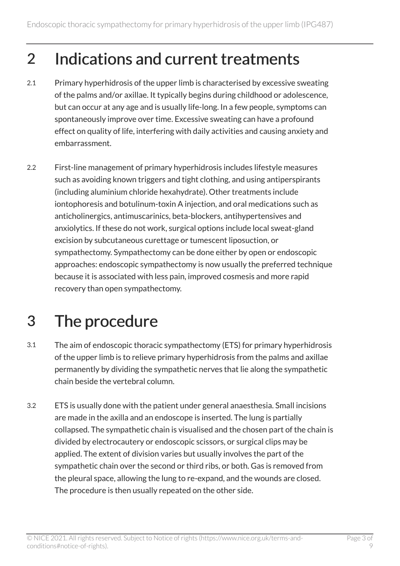#### 2 Indications and current treatments

- 2.1 Primary hyperhidrosis of the upper limb is characterised by excessive sweating of the palms and/or axillae. It typically begins during childhood or adolescence, but can occur at any age and is usually life-long. In a few people, symptoms can spontaneously improve over time. Excessive sweating can have a profound effect on quality of life, interfering with daily activities and causing anxiety and embarrassment.
- 2.2 First-line management of primary hyperhidrosis includes lifestyle measures such as avoiding known triggers and tight clothing, and using antiperspirants (including aluminium chloride hexahydrate). Other treatments include iontophoresis and botulinum-toxin A injection, and oral medications such as anticholinergics, antimuscarinics, beta-blockers, antihypertensives and anxiolytics. If these do not work, surgical options include local sweat-gland excision by subcutaneous curettage or tumescent liposuction, or sympathectomy. Sympathectomy can be done either by open or endoscopic approaches: endoscopic sympathectomy is now usually the preferred technique because it is associated with less pain, improved cosmesis and more rapid recovery than open sympathectomy.

# 3 The procedure

- 3.1 The aim of endoscopic thoracic sympathectomy (ETS) for primary hyperhidrosis of the upper limb is to relieve primary hyperhidrosis from the palms and axillae permanently by dividing the sympathetic nerves that lie along the sympathetic chain beside the vertebral column.
- 3.2 ETS is usually done with the patient under general anaesthesia. Small incisions are made in the axilla and an endoscope is inserted. The lung is partially collapsed. The sympathetic chain is visualised and the chosen part of the chain is divided by electrocautery or endoscopic scissors, or surgical clips may be applied. The extent of division varies but usually involves the part of the sympathetic chain over the second or third ribs, or both. Gas is removed from the pleural space, allowing the lung to re-expand, and the wounds are closed. The procedure is then usually repeated on the other side.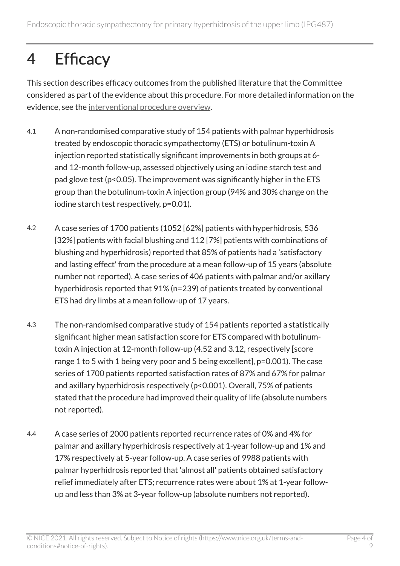### 4 Efficacy

This section describes efficacy outcomes from the published literature that the Committee considered as part of the evidence about this procedure. For more detailed information on the evidence, see the [interventional procedure overview](http://www.nice.org.uk/guidance/ipg487).

- 4.1 A non-randomised comparative study of 154 patients with palmar hyperhidrosis treated by endoscopic thoracic sympathectomy (ETS) or botulinum-toxin A injection reported statistically significant improvements in both groups at 6 and 12-month follow-up, assessed objectively using an iodine starch test and pad glove test (p<0.05). The improvement was significantly higher in the ETS group than the botulinum-toxin A injection group (94% and 30% change on the iodine starch test respectively, p=0.01).
- 4.2 A case series of 1700 patients (1052 [62%] patients with hyperhidrosis, 536 [32%] patients with facial blushing and 112 [7%] patients with combinations of blushing and hyperhidrosis) reported that 85% of patients had a 'satisfactory and lasting effect' from the procedure at a mean follow-up of 15 years (absolute number not reported). A case series of 406 patients with palmar and/or axillary hyperhidrosis reported that 91% (n=239) of patients treated by conventional ETS had dry limbs at a mean follow-up of 17 years.
- 4.3 The non-randomised comparative study of 154 patients reported a statistically significant higher mean satisfaction score for ETS compared with botulinumtoxin A injection at 12-month follow-up (4.52 and 3.12, respectively [score range 1 to 5 with 1 being very poor and 5 being excellent], p=0.001). The case series of 1700 patients reported satisfaction rates of 87% and 67% for palmar and axillary hyperhidrosis respectively (p<0.001). Overall, 75% of patients stated that the procedure had improved their quality of life (absolute numbers not reported).
- 4.4 A case series of 2000 patients reported recurrence rates of 0% and 4% for palmar and axillary hyperhidrosis respectively at 1-year follow-up and 1% and 17% respectively at 5-year follow-up. A case series of 9988 patients with palmar hyperhidrosis reported that 'almost all' patients obtained satisfactory relief immediately after ETS; recurrence rates were about 1% at 1-year followup and less than 3% at 3-year follow-up (absolute numbers not reported).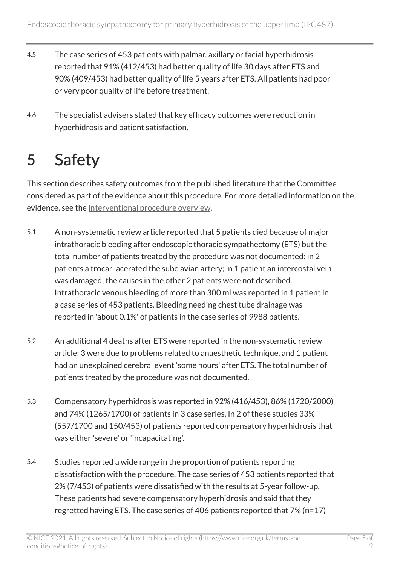- 4.5 The case series of 453 patients with palmar, axillary or facial hyperhidrosis reported that 91% (412/453) had better quality of life 30 days after ETS and 90% (409/453) had better quality of life 5 years after ETS. All patients had poor or very poor quality of life before treatment.
- 4.6 The specialist advisers stated that key efficacy outcomes were reduction in hyperhidrosis and patient satisfaction.

### 5 Safety

This section describes safety outcomes from the published literature that the Committee considered as part of the evidence about this procedure. For more detailed information on the evidence, see the [interventional procedure overview](http://www.nice.org.uk/guidance/ipg487).

- 5.1 A non-systematic review article reported that 5 patients died because of major intrathoracic bleeding after endoscopic thoracic sympathectomy (ETS) but the total number of patients treated by the procedure was not documented: in 2 patients a trocar lacerated the subclavian artery; in 1 patient an intercostal vein was damaged; the causes in the other 2 patients were not described. Intrathoracic venous bleeding of more than 300 ml was reported in 1 patient in a case series of 453 patients. Bleeding needing chest tube drainage was reported in 'about 0.1%' of patients in the case series of 9988 patients.
- 5.2 An additional 4 deaths after ETS were reported in the non-systematic review article: 3 were due to problems related to anaesthetic technique, and 1 patient had an unexplained cerebral event 'some hours' after ETS. The total number of patients treated by the procedure was not documented.
- 5.3 Compensatory hyperhidrosis was reported in 92% (416/453), 86% (1720/2000) and 74% (1265/1700) of patients in 3 case series. In 2 of these studies 33% (557/1700 and 150/453) of patients reported compensatory hyperhidrosis that was either 'severe' or 'incapacitating'.
- 5.4 Studies reported a wide range in the proportion of patients reporting dissatisfaction with the procedure. The case series of 453 patients reported that 2% (7/453) of patients were dissatisfied with the results at 5-year follow-up. These patients had severe compensatory hyperhidrosis and said that they regretted having ETS. The case series of 406 patients reported that 7% (n=17)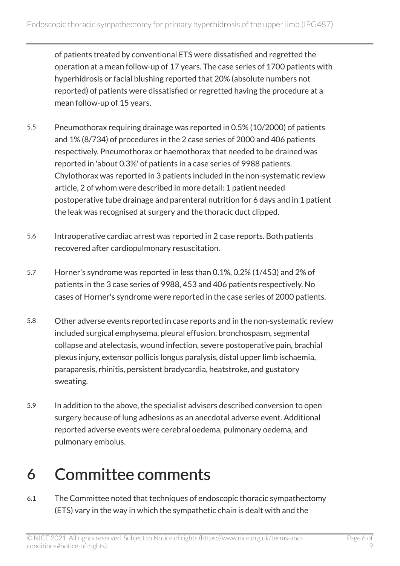of patients treated by conventional ETS were dissatisfied and regretted the operation at a mean follow-up of 17 years. The case series of 1700 patients with hyperhidrosis or facial blushing reported that 20% (absolute numbers not reported) of patients were dissatisfied or regretted having the procedure at a mean follow-up of 15 years.

- 5.5 Pneumothorax requiring drainage was reported in 0.5% (10/2000) of patients and 1% (8/734) of procedures in the 2 case series of 2000 and 406 patients respectively. Pneumothorax or haemothorax that needed to be drained was reported in 'about 0.3%' of patients in a case series of 9988 patients. Chylothorax was reported in 3 patients included in the non-systematic review article, 2 of whom were described in more detail: 1 patient needed postoperative tube drainage and parenteral nutrition for 6 days and in 1 patient the leak was recognised at surgery and the thoracic duct clipped.
- 5.6 Intraoperative cardiac arrest was reported in 2 case reports. Both patients recovered after cardiopulmonary resuscitation.
- 5.7 Horner's syndrome was reported in less than 0.1%, 0.2% (1/453) and 2% of patients in the 3 case series of 9988, 453 and 406 patients respectively. No cases of Horner's syndrome were reported in the case series of 2000 patients.
- 5.8 Other adverse events reported in case reports and in the non-systematic review included surgical emphysema, pleural effusion, bronchospasm, segmental collapse and atelectasis, wound infection, severe postoperative pain, brachial plexus injury, extensor pollicis longus paralysis, distal upper limb ischaemia, paraparesis, rhinitis, persistent bradycardia, heatstroke, and gustatory sweating.
- 5.9 In addition to the above, the specialist advisers described conversion to open surgery because of lung adhesions as an anecdotal adverse event. Additional reported adverse events were cerebral oedema, pulmonary oedema, and pulmonary embolus.

#### 6 Committee comments

6.1 The Committee noted that techniques of endoscopic thoracic sympathectomy (ETS) vary in the way in which the sympathetic chain is dealt with and the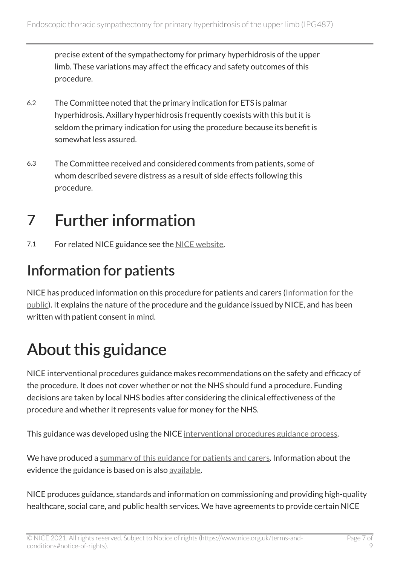precise extent of the sympathectomy for primary hyperhidrosis of the upper limb. These variations may affect the efficacy and safety outcomes of this procedure.

- 6.2 The Committee noted that the primary indication for ETS is palmar hyperhidrosis. Axillary hyperhidrosis frequently coexists with this but it is seldom the primary indication for using the procedure because its benefit is somewhat less assured.
- 6.3 The Committee received and considered comments from patients, some of whom described severe distress as a result of side effects following this procedure.

## 7 Further information

7.1 For related NICE guidance see the [NICE website.](http://www.nice.org.uk/)

#### Information for patients

NICE has produced information on this procedure for patients and carers [\(Information for the](http://www.nice.org.uk/guidance/ipg487/informationforpublic)  [public\)](http://www.nice.org.uk/guidance/ipg487/informationforpublic). It explains the nature of the procedure and the guidance issued by NICE, and has been written with patient consent in mind.

# About this guidance

NICE interventional procedures guidance makes recommendations on the safety and efficacy of the procedure. It does not cover whether or not the NHS should fund a procedure. Funding decisions are taken by local NHS bodies after considering the clinical effectiveness of the procedure and whether it represents value for money for the NHS.

This guidance was developed using the NICE [interventional procedures guidance process](http://www.nice.org.uk/about/what-we-do/our-programmes/nice-guidance/nice-interventional-procedures-guidance).

We have produced a [summary of this guidance for patients and carers.](http://www.nice.org.uk/guidance/ipg487/informationforpublic) Information about the evidence the guidance is based on is also [available](http://www.nice.org.uk/guidance/ipg487).

NICE produces guidance, standards and information on commissioning and providing high-quality healthcare, social care, and public health services. We have agreements to provide certain NICE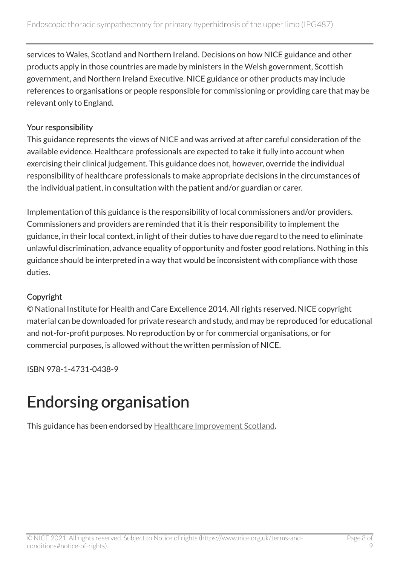services to Wales, Scotland and Northern Ireland. Decisions on how NICE guidance and other products apply in those countries are made by ministers in the Welsh government, Scottish government, and Northern Ireland Executive. NICE guidance or other products may include references to organisations or people responsible for commissioning or providing care that may be relevant only to England.

#### Your responsibility

This guidance represents the views of NICE and was arrived at after careful consideration of the available evidence. Healthcare professionals are expected to take it fully into account when exercising their clinical judgement. This guidance does not, however, override the individual responsibility of healthcare professionals to make appropriate decisions in the circumstances of the individual patient, in consultation with the patient and/or guardian or carer.

Implementation of this guidance is the responsibility of local commissioners and/or providers. Commissioners and providers are reminded that it is their responsibility to implement the guidance, in their local context, in light of their duties to have due regard to the need to eliminate unlawful discrimination, advance equality of opportunity and foster good relations. Nothing in this guidance should be interpreted in a way that would be inconsistent with compliance with those duties.

#### Copyright

© National Institute for Health and Care Excellence 2014. All rights reserved. NICE copyright material can be downloaded for private research and study, and may be reproduced for educational and not-for-profit purposes. No reproduction by or for commercial organisations, or for commercial purposes, is allowed without the written permission of NICE.

ISBN 978-1-4731-0438-9

# Endorsing organisation

This guidance has been endorsed by [Healthcare Improvement Scotland.](http://www.healthcareimprovementscotland.org/)